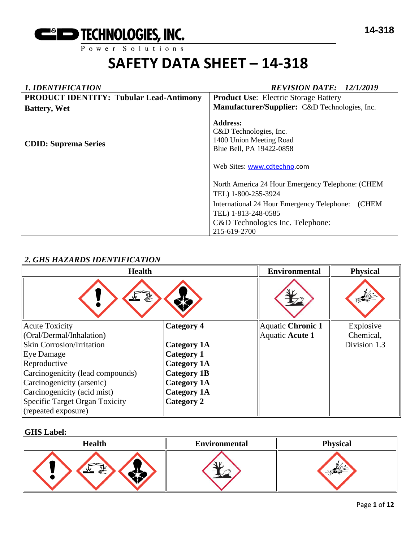#### *1. IDENTIFICATION REVISION DATE: 12/1/2019* **PRODUCT IDENTITY: Tubular Lead-Antimony Battery, Wet CDID: Suprema Series Product Use**: Electric Storage Battery **Manufacturer/Supplier:** C&D Technologies, Inc. **Address:**  C&D Technologies, Inc. 1400 Union Meeting Road Blue Bell, PA 19422-0858 Web Sites: [www.cdtechno.](http://www.cdtechno/)com North America 24 Hour Emergency Telephone: (CHEM TEL) 1-800-255-3924 International 24 Hour Emergency Telephone: (CHEM TEL) 1-813-248-0585 C&D Technologies Inc. Telephone: 215-619-2700

#### *2. GHS HAZARDS IDENTIFICATION*

| <b>Health</b>                    |                    | <b>Environmental</b> | <b>Physical</b> |
|----------------------------------|--------------------|----------------------|-----------------|
| 系<br>وتميز                       |                    |                      |                 |
| <b>Acute Toxicity</b>            | <b>Category 4</b>  | Aquatic Chronic 1    | Explosive       |
| (Oral/Dermal/Inhalation)         |                    | Aquatic Acute 1      | Chemical,       |
| Skin Corrosion/Irritation        | <b>Category 1A</b> |                      | Division 1.3    |
| Eye Damage                       | <b>Category 1</b>  |                      |                 |
| Reproductive                     | <b>Category 1A</b> |                      |                 |
| Carcinogenicity (lead compounds) | <b>Category 1B</b> |                      |                 |
| Carcinogenicity (arsenic)        | <b>Category 1A</b> |                      |                 |
| Carcinogenicity (acid mist)      | <b>Category 1A</b> |                      |                 |
| Specific Target Organ Toxicity   | <b>Category 2</b>  |                      |                 |
| (repeated exposure)              |                    |                      |                 |

#### **GHS Label:**

| <b>Health</b>    | <b>Environmental</b> | <b>Physical</b> |
|------------------|----------------------|-----------------|
| <b>WIN</b><br>€े |                      |                 |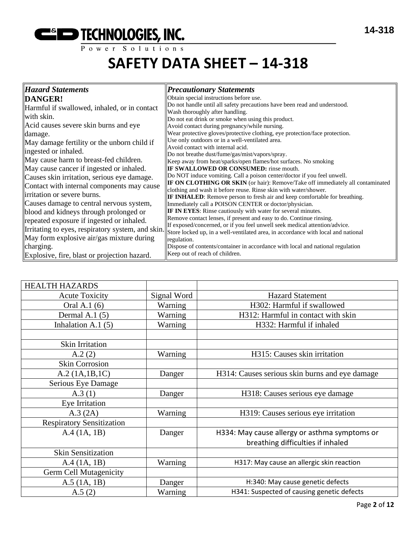# **EXECUTE THE THE TECHNOLOGIES, INC.**

## **SAFETY DATA SHEET – 14-318**

| <b>Hazard Statements</b>                         | <b>Precautionary Statements</b>                                                                                                                       |
|--------------------------------------------------|-------------------------------------------------------------------------------------------------------------------------------------------------------|
| <b>DANGER!</b>                                   | Obtain special instructions before use.                                                                                                               |
| Harmful if swallowed, inhaled, or in contact     | Do not handle until all safety precautions have been read and understood.                                                                             |
| with skin.                                       | Wash thoroughly after handling.<br>Do not eat drink or smoke when using this product.                                                                 |
| Acid causes severe skin burns and eye            | Avoid contact during pregnancy/while nursing.                                                                                                         |
| damage.                                          | Wear protective gloves/protective clothing, eye protection/face protection.                                                                           |
| May damage fertility or the unborn child if      | Use only outdoors or in a well-ventilated area.                                                                                                       |
| ingested or inhaled.                             | Avoid contact with internal acid.                                                                                                                     |
| May cause harm to breast-fed children.           | Do not breathe dust/fume/gas/mist/vapors/spray.<br>Keep away from heat/sparks/open flames/hot surfaces. No smoking                                    |
| May cause cancer if ingested or inhaled.         | <b>IF SWALLOWED OR CONSUMED:</b> rinse mouth.                                                                                                         |
| Causes skin irritation, serious eye damage.      | Do NOT induce vomiting. Call a poison center/doctor if you feel unwell.                                                                               |
| Contact with internal components may cause       | <b>IF ON CLOTHING OR SKIN</b> (or hair): Remove/Take off immediately all contaminated                                                                 |
| irritation or severe burns.                      | clothing and wash it before reuse. Rinse skin with water/shower.<br><b>IF INHALED:</b> Remove person to fresh air and keep comfortable for breathing. |
| Causes damage to central nervous system,         | Immediately call a POISON CENTER or doctor/physician.                                                                                                 |
| blood and kidneys through prolonged or           | IF IN EYES: Rinse cautiously with water for several minutes.                                                                                          |
| repeated exposure if ingested or inhaled.        | Remove contact lenses, if present and easy to do. Continue rinsing.                                                                                   |
| Irritating to eyes, respiratory system, and skin | If exposed/concerned, or if you feel unwell seek medical attention/advice.                                                                            |
| May form explosive air/gas mixture during        | Store locked up, in a well-ventilated area, in accordance with local and national<br>regulation.                                                      |
| charging.                                        | Dispose of contents/container in accordance with local and national regulation                                                                        |
| Explosive, fire, blast or projection hazard.     | Keep out of reach of children.                                                                                                                        |

| <b>HEALTH HAZARDS</b>            |             |                                                |
|----------------------------------|-------------|------------------------------------------------|
| <b>Acute Toxicity</b>            | Signal Word | <b>Hazard Statement</b>                        |
| Oral A.1 (6)                     | Warning     | H302: Harmful if swallowed                     |
| Dermal A.1 $(5)$                 | Warning     | H312: Harmful in contact with skin             |
| Inhalation A.1 $(5)$             | Warning     | H332: Harmful if inhaled                       |
|                                  |             |                                                |
| Skin Irritation                  |             |                                                |
| A.2(2)                           | Warning     | H315: Causes skin irritation                   |
| <b>Skin Corrosion</b>            |             |                                                |
| A.2 (1A.1B.1C)                   | Danger      | H314: Causes serious skin burns and eye damage |
| Serious Eye Damage               |             |                                                |
| A.3(1)                           | Danger      | H318: Causes serious eye damage                |
| Eye Irritation                   |             |                                                |
| A.3 (2A)                         | Warning     | H319: Causes serious eye irritation            |
| <b>Respiratory Sensitization</b> |             |                                                |
| A.4 (1A, 1B)                     | Danger      | H334: May cause allergy or asthma symptoms or  |
|                                  |             | breathing difficulties if inhaled              |
| <b>Skin Sensitization</b>        |             |                                                |
| A.4 (1A, 1B)                     | Warning     | H317: May cause an allergic skin reaction      |
| Germ Cell Mutagenicity           |             |                                                |
| $A.5$ (1A, 1B)                   | Danger      | H:340: May cause genetic defects               |
| A.5(2)                           | Warning     | H341: Suspected of causing genetic defects     |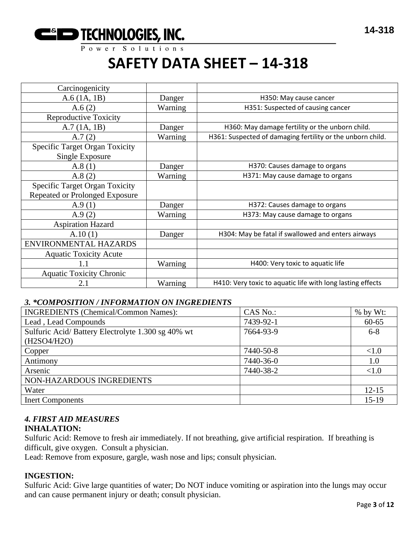

| Carcinogenicity                       |         |                                                            |
|---------------------------------------|---------|------------------------------------------------------------|
| A.6(1A, 1B)                           | Danger  | H350: May cause cancer                                     |
| A.6(2)                                | Warning | H351: Suspected of causing cancer                          |
| <b>Reproductive Toxicity</b>          |         |                                                            |
| A.7(1A, 1B)                           | Danger  | H360: May damage fertility or the unborn child.            |
| A.7(2)                                | Warning | H361: Suspected of damaging fertility or the unborn child. |
| <b>Specific Target Organ Toxicity</b> |         |                                                            |
| Single Exposure                       |         |                                                            |
| A.8(1)                                | Danger  | H370: Causes damage to organs                              |
| A.8(2)                                | Warning | H371: May cause damage to organs                           |
| <b>Specific Target Organ Toxicity</b> |         |                                                            |
| <b>Repeated or Prolonged Exposure</b> |         |                                                            |
| A.9(1)                                | Danger  | H372: Causes damage to organs                              |
| A.9(2)                                | Warning | H373: May cause damage to organs                           |
| <b>Aspiration Hazard</b>              |         |                                                            |
| A.10(1)                               | Danger  | H304: May be fatal if swallowed and enters airways         |
| ENVIRONMENTAL HAZARDS                 |         |                                                            |
| <b>Aquatic Toxicity Acute</b>         |         |                                                            |
| 1.1                                   | Warning | H400: Very toxic to aquatic life                           |
| <b>Aquatic Toxicity Chronic</b>       |         |                                                            |
| 2.1                                   | Warning | H410: Very toxic to aquatic life with long lasting effects |

#### *3. \*COMPOSITION / INFORMATION ON INGREDIENTS*

| <b>INGREDIENTS</b> (Chemical/Common Names):                      | CAS No.:  | % by Wt:  |
|------------------------------------------------------------------|-----------|-----------|
| Lead, Lead Compounds                                             | 7439-92-1 | $60 - 65$ |
| Sulfuric Acid/Battery Electrolyte 1.300 sg 40% wt<br>(H2SO4/H2O) | 7664-93-9 | $6 - 8$   |
| Copper                                                           | 7440-50-8 | <1.0      |
| Antimony                                                         | 7440-36-0 | 1.0       |
| Arsenic                                                          | 7440-38-2 | <1.0      |
| NON-HAZARDOUS INGREDIENTS                                        |           |           |
| Water                                                            |           | $12 - 15$ |
| <b>Inert Components</b>                                          |           | $15-19$   |

#### *4. FIRST AID MEASURES*

#### **INHALATION:**

Sulfuric Acid: Remove to fresh air immediately. If not breathing, give artificial respiration. If breathing is difficult, give oxygen. Consult a physician.

Lead: Remove from exposure, gargle, wash nose and lips; consult physician.

#### **INGESTION:**

Sulfuric Acid: Give large quantities of water; Do NOT induce vomiting or aspiration into the lungs may occur and can cause permanent injury or death; consult physician.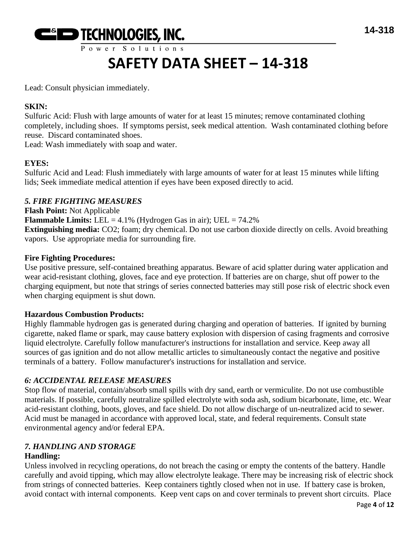

Power Solutions

## **SAFETY DATA SHEET – 14-318**

Lead: Consult physician immediately.

#### **SKIN:**

Sulfuric Acid: Flush with large amounts of water for at least 15 minutes; remove contaminated clothing completely, including shoes. If symptoms persist, seek medical attention. Wash contaminated clothing before reuse. Discard contaminated shoes.

Lead: Wash immediately with soap and water.

#### **EYES:**

Sulfuric Acid and Lead: Flush immediately with large amounts of water for at least 15 minutes while lifting lids; Seek immediate medical attention if eyes have been exposed directly to acid.

#### *5. FIRE FIGHTING MEASURES*

**Flash Point:** Not Applicable **Flammable Limits:** LEL =  $4.1\%$  (Hydrogen Gas in air); UEL =  $74.2\%$ **Extinguishing media:** CO2; foam; dry chemical. Do not use carbon dioxide directly on cells. Avoid breathing vapors. Use appropriate media for surrounding fire.

#### **Fire Fighting Procedures:**

Use positive pressure, self-contained breathing apparatus. Beware of acid splatter during water application and wear acid-resistant clothing, gloves, face and eye protection. If batteries are on charge, shut off power to the charging equipment, but note that strings of series connected batteries may still pose risk of electric shock even when charging equipment is shut down.

#### **Hazardous Combustion Products:**

Highly flammable hydrogen gas is generated during charging and operation of batteries. If ignited by burning cigarette, naked flame or spark, may cause battery explosion with dispersion of casing fragments and corrosive liquid electrolyte. Carefully follow manufacturer's instructions for installation and service. Keep away all sources of gas ignition and do not allow metallic articles to simultaneously contact the negative and positive terminals of a battery. Follow manufacturer's instructions for installation and service.

#### *6: ACCIDENTAL RELEASE MEASURES*

Stop flow of material, contain/absorb small spills with dry sand, earth or vermiculite. Do not use combustible materials. If possible, carefully neutralize spilled electrolyte with soda ash, sodium bicarbonate, lime, etc. Wear acid-resistant clothing, boots, gloves, and face shield. Do not allow discharge of un-neutralized acid to sewer. Acid must be managed in accordance with approved local, state, and federal requirements. Consult state environmental agency and/or federal EPA.

### *7. HANDLING AND STORAGE*

#### **Handling:**

Unless involved in recycling operations, do not breach the casing or empty the contents of the battery. Handle carefully and avoid tipping, which may allow electrolyte leakage. There may be increasing risk of electric shock from strings of connected batteries. Keep containers tightly closed when not in use. If battery case is broken, avoid contact with internal components. Keep vent caps on and cover terminals to prevent short circuits. Place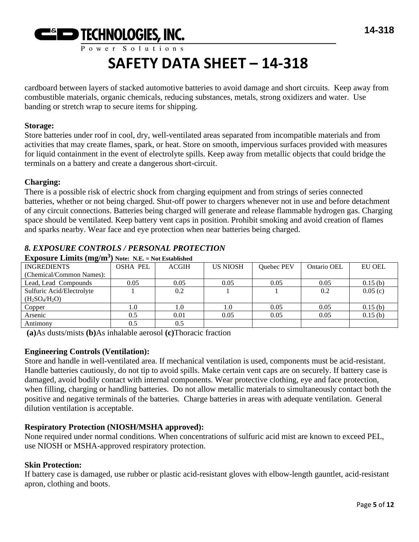

cardboard between layers of stacked automotive batteries to avoid damage and short circuits. Keep away from combustible materials, organic chemicals, reducing substances, metals, strong oxidizers and water. Use banding or stretch wrap to secure items for shipping.

#### **Storage:**

Store batteries under roof in cool, dry, well-ventilated areas separated from incompatible materials and from activities that may create flames, spark, or heat. Store on smooth, impervious surfaces provided with measures for liquid containment in the event of electrolyte spills. Keep away from metallic objects that could bridge the terminals on a battery and create a dangerous short-circuit.

#### **Charging:**

There is a possible risk of electric shock from charging equipment and from strings of series connected batteries, whether or not being charged. Shut-off power to chargers whenever not in use and before detachment of any circuit connections. Batteries being charged will generate and release flammable hydrogen gas. Charging space should be ventilated. Keep battery vent caps in position. Prohibit smoking and avoid creation of flames and sparks nearby. Wear face and eye protection when near batteries being charged.

| <b>Exposure Limits (mg/m<sup>3</sup>)</b> Note: N.E. = Not Established |                 |              |                 |            |             |               |
|------------------------------------------------------------------------|-----------------|--------------|-----------------|------------|-------------|---------------|
| <b>INGREDIENTS</b>                                                     | <b>OSHA PEL</b> | <b>ACGIH</b> | <b>US NIOSH</b> | Quebec PEV | Ontario OEL | <b>EU OEL</b> |
| (Chemical/Common Names):                                               |                 |              |                 |            |             |               |
| Lead, Lead Compounds                                                   | 0.05            | 0.05         | 0.05            | 0.05       | 0.05        | 0.15(b)       |
| Sulfuric Acid/Electrolyte                                              |                 | 0.2          |                 |            | 0.2         | 0.05(c)       |
| $(H_2SO_4/H_2O)$                                                       |                 |              |                 |            |             |               |
| Copper                                                                 | 1.0             | 1.0          | 1.0             | 0.05       | 0.05        | 0.15(b)       |
| Arsenic                                                                | 0.5             | 0.01         | 0.05            | 0.05       | 0.05        | 0.15(b)       |
| Antimony                                                               | 0.5             | 0.5          |                 |            |             |               |

#### *8. EXPOSURE CONTROLS / PERSONAL PROTECTION*

**(a)**As dusts/mists **(b)**As inhalable aerosol **(c)**Thoracic fraction

#### **Engineering Controls (Ventilation):**

Store and handle in well-ventilated area. If mechanical ventilation is used, components must be acid-resistant. Handle batteries cautiously, do not tip to avoid spills. Make certain vent caps are on securely. If battery case is damaged, avoid bodily contact with internal components. Wear protective clothing, eye and face protection, when filling, charging or handling batteries. Do not allow metallic materials to simultaneously contact both the positive and negative terminals of the batteries. Charge batteries in areas with adequate ventilation. General dilution ventilation is acceptable.

#### **Respiratory Protection (NIOSH/MSHA approved):**

None required under normal conditions. When concentrations of sulfuric acid mist are known to exceed PEL, use NIOSH or MSHA-approved respiratory protection.

#### **Skin Protection:**

If battery case is damaged, use rubber or plastic acid-resistant gloves with elbow-length gauntlet, acid-resistant apron, clothing and boots.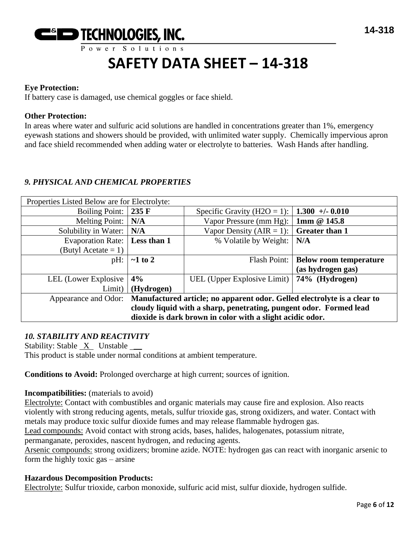

#### **Eye Protection:**

If battery case is damaged, use chemical goggles or face shield.

#### **Other Protection:**

In areas where water and sulfuric acid solutions are handled in concentrations greater than 1%, emergency eyewash stations and showers should be provided, with unlimited water supply. Chemically impervious apron and face shield recommended when adding water or electrolyte to batteries. Wash Hands after handling.

#### *9. PHYSICAL AND CHEMICAL PROPERTIES*

| Properties Listed Below are for Electrolyte:                                                     |                 |                                                             |                               |
|--------------------------------------------------------------------------------------------------|-----------------|-------------------------------------------------------------|-------------------------------|
| Boiling Point:                                                                                   | $235 \text{ F}$ | Specific Gravity (H2O = 1):   <b>1.300</b> +/- <b>0.010</b> |                               |
| Melting Point:                                                                                   | N/A             | Vapor Pressure (mm Hg): $\vert$ 1mm @ 145.8                 |                               |
| Solubility in Water:                                                                             | N/A             | Vapor Density (AIR = 1): $\vert$ Greater than 1             |                               |
| Evaporation Rate:                                                                                | Less than 1     | % Volatile by Weight:                                       | N/A                           |
| (Butyl Acetate $= 1$ )                                                                           |                 |                                                             |                               |
| pH:                                                                                              | $\sim$ 1 to 2   | Flash Point:                                                | <b>Below room temperature</b> |
|                                                                                                  |                 |                                                             | (as hydrogen gas)             |
| LEL (Lower Explosive                                                                             | 4%              | UEL (Upper Explosive Limit)   74% (Hydrogen)                |                               |
| Limit)                                                                                           | (Hydrogen)      |                                                             |                               |
| Manufactured article; no apparent odor. Gelled electrolyte is a clear to<br>Appearance and Odor: |                 |                                                             |                               |
| cloudy liquid with a sharp, penetrating, pungent odor. Formed lead                               |                 |                                                             |                               |
| dioxide is dark brown in color with a slight acidic odor.                                        |                 |                                                             |                               |

#### *10. STABILITY AND REACTIVITY*

Stability: Stable X Unstable \_\_ This product is stable under normal conditions at ambient temperature.

**Conditions to Avoid:** Prolonged overcharge at high current; sources of ignition.

#### **Incompatibilities:** (materials to avoid)

Electrolyte: Contact with combustibles and organic materials may cause fire and explosion. Also reacts violently with strong reducing agents, metals, sulfur trioxide gas, strong oxidizers, and water. Contact with metals may produce toxic sulfur dioxide fumes and may release flammable hydrogen gas.

Lead compounds: Avoid contact with strong acids, bases, halides, halogenates, potassium nitrate,

permanganate, peroxides, nascent hydrogen, and reducing agents.

Arsenic compounds: strong oxidizers; bromine azide. NOTE: hydrogen gas can react with inorganic arsenic to form the highly toxic gas – arsine

#### **Hazardous Decomposition Products:**

Electrolyte: Sulfur trioxide, carbon monoxide, sulfuric acid mist, sulfur dioxide, hydrogen sulfide.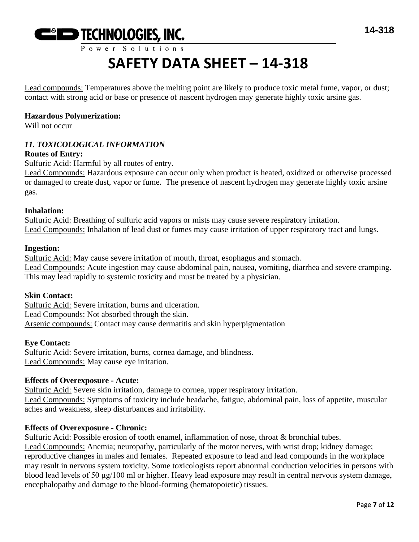

Lead compounds: Temperatures above the melting point are likely to produce toxic metal fume, vapor, or dust; contact with strong acid or base or presence of nascent hydrogen may generate highly toxic arsine gas.

#### **Hazardous Polymerization:**

Will not occur

### *11. TOXICOLOGICAL INFORMATION*

#### **Routes of Entry:**

Sulfuric Acid: Harmful by all routes of entry.

Lead Compounds: Hazardous exposure can occur only when product is heated, oxidized or otherwise processed or damaged to create dust, vapor or fume. The presence of nascent hydrogen may generate highly toxic arsine gas.

#### **Inhalation:**

Sulfuric Acid: Breathing of sulfuric acid vapors or mists may cause severe respiratory irritation. Lead Compounds: Inhalation of lead dust or fumes may cause irritation of upper respiratory tract and lungs.

#### **Ingestion:**

Sulfuric Acid: May cause severe irritation of mouth, throat, esophagus and stomach. Lead Compounds: Acute ingestion may cause abdominal pain, nausea, vomiting, diarrhea and severe cramping. This may lead rapidly to systemic toxicity and must be treated by a physician.

#### **Skin Contact:**

Sulfuric Acid: Severe irritation, burns and ulceration. Lead Compounds: Not absorbed through the skin. Arsenic compounds: Contact may cause dermatitis and skin hyperpigmentation

#### **Eye Contact:**

Sulfuric Acid: Severe irritation, burns, cornea damage, and blindness. Lead Compounds: May cause eye irritation.

#### **Effects of Overexposure - Acute:**

Sulfuric Acid: Severe skin irritation, damage to cornea, upper respiratory irritation. Lead Compounds: Symptoms of toxicity include headache, fatigue, abdominal pain, loss of appetite, muscular aches and weakness, sleep disturbances and irritability.

#### **Effects of Overexposure - Chronic:**

Sulfuric Acid: Possible erosion of tooth enamel, inflammation of nose, throat & bronchial tubes. Lead Compounds: Anemia; neuropathy, particularly of the motor nerves, with wrist drop; kidney damage; reproductive changes in males and females. Repeated exposure to lead and lead compounds in the workplace may result in nervous system toxicity. Some toxicologists report abnormal conduction velocities in persons with blood lead levels of 50 μg/100 ml or higher. Heavy lead exposure may result in central nervous system damage, encephalopathy and damage to the blood-forming (hematopoietic) tissues.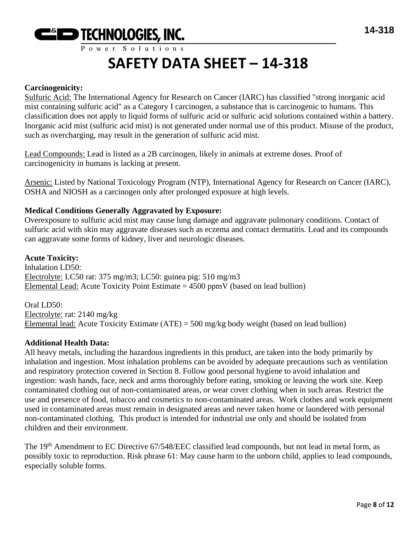

#### **Carcinogenicity:**

Sulfuric Acid: The International Agency for Research on Cancer (IARC) has classified "strong inorganic acid mist containing sulfuric acid" as a Category I carcinogen, a substance that is carcinogenic to humans. This classification does not apply to liquid forms of sulfuric acid or sulfuric acid solutions contained within a battery. Inorganic acid mist (sulfuric acid mist) is not generated under normal use of this product. Misuse of the product, such as overcharging, may result in the generation of sulfuric acid mist.

Lead Compounds: Lead is listed as a 2B carcinogen, likely in animals at extreme doses. Proof of carcinogenicity in humans is lacking at present.

Arsenic: Listed by National Toxicology Program (NTP), International Agency for Research on Cancer (IARC), OSHA and NIOSH as a carcinogen only after prolonged exposure at high levels.

#### **Medical Conditions Generally Aggravated by Exposure:**

Overexposure to sulfuric acid mist may cause lung damage and aggravate pulmonary conditions. Contact of sulfuric acid with skin may aggravate diseases such as eczema and contact dermatitis. Lead and its compounds can aggravate some forms of kidney, liver and neurologic diseases.

#### **Acute Toxicity:**

Inhalation LD50: Electrolyte: LC50 rat: 375 mg/m3; LC50: guinea pig: 510 mg/m3 Elemental Lead: Acute Toxicity Point Estimate  $= 4500$  ppmV (based on lead bullion)

Oral LD50: Electrolyte: rat: 2140 mg/kg Elemental lead: Acute Toxicity Estimate (ATE) = 500 mg/kg body weight (based on lead bullion)

#### **Additional Health Data:**

All heavy metals, including the hazardous ingredients in this product, are taken into the body primarily by inhalation and ingestion. Most inhalation problems can be avoided by adequate precautions such as ventilation and respiratory protection covered in Section 8. Follow good personal hygiene to avoid inhalation and ingestion: wash hands, face, neck and arms thoroughly before eating, smoking or leaving the work site. Keep contaminated clothing out of non-contaminated areas, or wear cover clothing when in such areas. Restrict the use and presence of food, tobacco and cosmetics to non-contaminated areas. Work clothes and work equipment used in contaminated areas must remain in designated areas and never taken home or laundered with personal non-contaminated clothing. This product is intended for industrial use only and should be isolated from children and their environment.

The 19<sup>th</sup> Amendment to EC Directive 67/548/EEC classified lead compounds, but not lead in metal form, as possibly toxic to reproduction. Risk phrase 61: May cause harm to the unborn child, applies to lead compounds, especially soluble forms.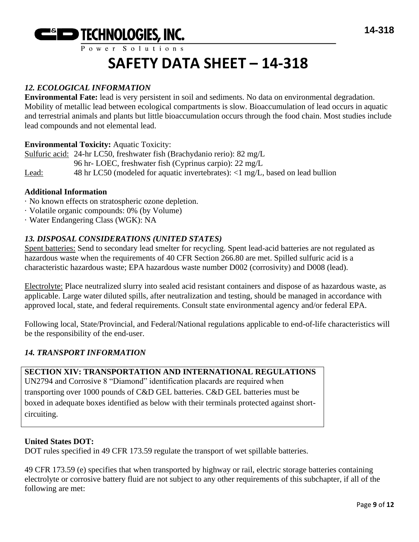

#### *12. ECOLOGICAL INFORMATION*

**Environmental Fate:** lead is very persistent in soil and sediments. No data on environmental degradation. Mobility of metallic lead between ecological compartments is slow. Bioaccumulation of lead occurs in aquatic and terrestrial animals and plants but little bioaccumulation occurs through the food chain. Most studies include lead compounds and not elemental lead.

#### **Environmental Toxicity:** Aquatic Toxicity:

Sulfuric acid: 24-hr LC50, freshwater fish (Brachydanio rerio): 82 mg/L 96 hr- LOEC, freshwater fish (Cyprinus carpio): 22 mg/L Lead: 48 hr LC50 (modeled for aquatic invertebrates): <1 mg/L, based on lead bullion

#### **Additional Information**

- · No known effects on stratospheric ozone depletion.
- · Volatile organic compounds: 0% (by Volume)
- · Water Endangering Class (WGK): NA

#### *13. DISPOSAL CONSIDERATIONS (UNITED STATES)*

Spent batteries: Send to secondary lead smelter for recycling. Spent lead-acid batteries are not regulated as hazardous waste when the requirements of 40 CFR Section 266.80 are met. Spilled sulfuric acid is a characteristic hazardous waste; EPA hazardous waste number D002 (corrosivity) and D008 (lead).

Electrolyte: Place neutralized slurry into sealed acid resistant containers and dispose of as hazardous waste, as applicable. Large water diluted spills, after neutralization and testing, should be managed in accordance with approved local, state, and federal requirements. Consult state environmental agency and/or federal EPA.

Following local, State/Provincial, and Federal/National regulations applicable to end-of-life characteristics will be the responsibility of the end-user.

#### *14. TRANSPORT INFORMATION*

#### **SECTION XIV: TRANSPORTATION AND INTERNATIONAL REGULATIONS**

UN2794 and Corrosive 8 "Diamond" identification placards are required when transporting over 1000 pounds of C&D GEL batteries. C&D GEL batteries must be boxed in adequate boxes identified as below with their terminals protected against shortcircuiting.

#### **United States DOT:**

DOT rules specified in 49 CFR 173.59 regulate the transport of wet spillable batteries.

49 CFR 173.59 (e) specifies that when transported by highway or rail, electric storage batteries containing electrolyte or corrosive battery fluid are not subject to any other requirements of this subchapter, if all of the following are met: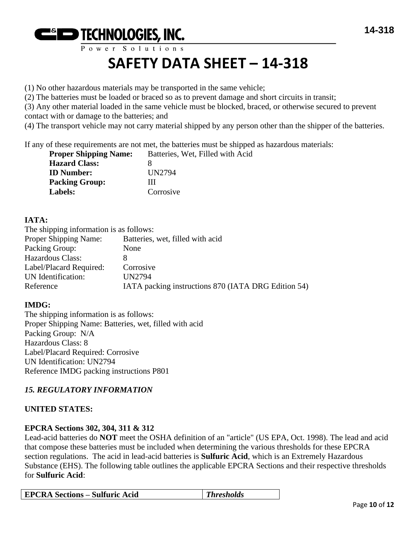

(1) No other hazardous materials may be transported in the same vehicle;

(2) The batteries must be loaded or braced so as to prevent damage and short circuits in transit;

(3) Any other material loaded in the same vehicle must be blocked, braced, or otherwise secured to prevent contact with or damage to the batteries; and

(4) The transport vehicle may not carry material shipped by any person other than the shipper of the batteries.

If any of these requirements are not met, the batteries must be shipped as hazardous materials:

| <b>Proper Shipping Name:</b> | Batteries, Wet, Filled with Acid |
|------------------------------|----------------------------------|
| <b>Hazard Class:</b>         |                                  |
| <b>ID</b> Number:            | UN2794                           |
| <b>Packing Group:</b>        | Ш                                |
| Labels:                      | Corrosive                        |

#### **IATA:**

| The shipping information is as follows: |                                                     |
|-----------------------------------------|-----------------------------------------------------|
| Proper Shipping Name:                   | Batteries, wet, filled with acid                    |
| Packing Group:                          | None                                                |
| Hazardous Class:                        | 8                                                   |
| Label/Placard Required:                 | Corrosive                                           |
| UN Identification:                      | UN2794                                              |
| Reference                               | IATA packing instructions 870 (IATA DRG Edition 54) |

#### **IMDG:**

The shipping information is as follows: Proper Shipping Name: Batteries, wet, filled with acid Packing Group: N/A Hazardous Class: 8 Label/Placard Required: Corrosive UN Identification: UN2794 Reference IMDG packing instructions P801

#### *15. REGULATORY INFORMATION*

#### **UNITED STATES:**

#### **EPCRA Sections 302, 304, 311 & 312**

Lead-acid batteries do **NOT** meet the OSHA definition of an "article" (US EPA, Oct. 1998). The lead and acid that compose these batteries must be included when determining the various thresholds for these EPCRA section regulations. The acid in lead-acid batteries is **Sulfuric Acid**, which is an Extremely Hazardous Substance (EHS). The following table outlines the applicable EPCRA Sections and their respective thresholds for **Sulfuric Acid**:

| <b>EPCRA Sections – Sulfuric Acid</b> | $\blacksquare$ Thresholds |
|---------------------------------------|---------------------------|
|---------------------------------------|---------------------------|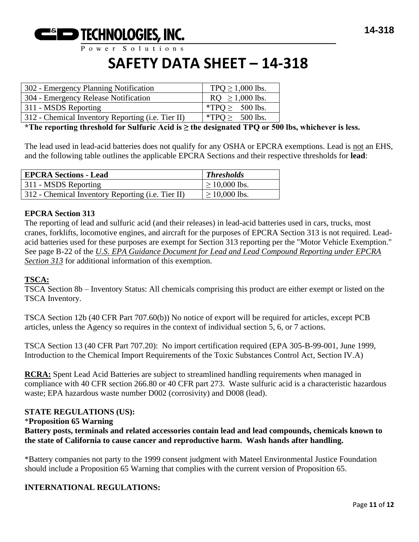

Power Solutions

## **SAFETY DATA SHEET – 14-318**

| 302 - Emergency Planning Notification             | TPQ $\geq$ 1,000 lbs. |
|---------------------------------------------------|-----------------------|
| 304 - Emergency Release Notification              | $RQ \ge 1,000$ lbs.   |
| 311 - MSDS Reporting                              | $*TPQ \ge 500$ lbs.   |
| 312 - Chemical Inventory Reporting (i.e. Tier II) | *TPO > $500$ lbs.     |

**\*The reporting threshold for Sulfuric Acid is ≥ the designated TPQ or 500 lbs, whichever is less.**

The lead used in lead-acid batteries does not qualify for any OSHA or EPCRA exemptions. Lead is not an EHS, and the following table outlines the applicable EPCRA Sections and their respective thresholds for **lead**:

| <b>EPCRA Sections - Lead</b>                      | <b>Thresholds</b>  |
|---------------------------------------------------|--------------------|
| 311 - MSDS Reporting                              | $\geq 10,000$ lbs. |
| 312 - Chemical Inventory Reporting (i.e. Tier II) | $\geq 10,000$ lbs. |

#### **EPCRA Section 313**

The reporting of lead and sulfuric acid (and their releases) in lead-acid batteries used in cars, trucks, most cranes, forklifts, locomotive engines, and aircraft for the purposes of EPCRA Section 313 is not required. Leadacid batteries used for these purposes are exempt for Section 313 reporting per the "Motor Vehicle Exemption." See page B-22 of the *U.S. EPA Guidance Document for Lead and Lead Compound Reporting under EPCRA Section 313* for additional information of this exemption.

#### **TSCA:**

TSCA Section 8b – Inventory Status: All chemicals comprising this product are either exempt or listed on the TSCA Inventory.

TSCA Section 12b (40 CFR Part 707.60(b)) No notice of export will be required for articles, except PCB articles, unless the Agency so requires in the context of individual section 5, 6, or 7 actions.

TSCA Section 13 (40 CFR Part 707.20): No import certification required (EPA 305-B-99-001, June 1999, Introduction to the Chemical Import Requirements of the Toxic Substances Control Act, Section IV.A)

**RCRA:** Spent Lead Acid Batteries are subject to streamlined handling requirements when managed in compliance with 40 CFR section 266.80 or 40 CFR part 273. Waste sulfuric acid is a characteristic hazardous waste; EPA hazardous waste number D002 (corrosivity) and D008 (lead).

#### **STATE REGULATIONS (US):** \***Proposition 65 Warning Battery posts, terminals and related accessories contain lead and lead compounds, chemicals known to the state of California to cause cancer and reproductive harm. Wash hands after handling.**

\*Battery companies not party to the 1999 consent judgment with Mateel Environmental Justice Foundation should include a Proposition 65 Warning that complies with the current version of Proposition 65.

#### **INTERNATIONAL REGULATIONS:**